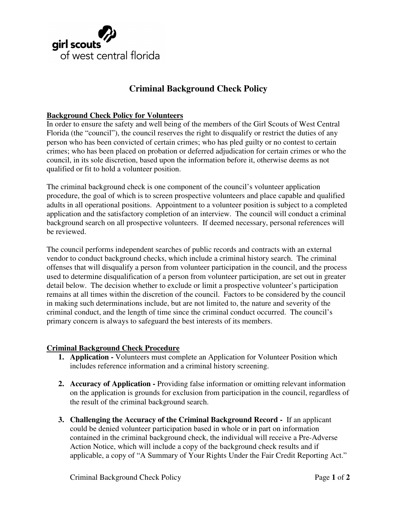# girl scouts of west central florida

# **Criminal Background Check Policy**

## **Background Check Policy for Volunteers**

In order to ensure the safety and well being of the members of the Girl Scouts of West Central Florida (the "council"), the council reserves the right to disqualify or restrict the duties of any person who has been convicted of certain crimes; who has pled guilty or no contest to certain crimes; who has been placed on probation or deferred adjudication for certain crimes or who the council, in its sole discretion, based upon the information before it, otherwise deems as not qualified or fit to hold a volunteer position.

The criminal background check is one component of the council's volunteer application procedure, the goal of which is to screen prospective volunteers and place capable and qualified adults in all operational positions. Appointment to a volunteer position is subject to a completed application and the satisfactory completion of an interview. The council will conduct a criminal background search on all prospective volunteers. If deemed necessary, personal references will be reviewed.

The council performs independent searches of public records and contracts with an external vendor to conduct background checks, which include a criminal history search. The criminal offenses that will disqualify a person from volunteer participation in the council, and the process used to determine disqualification of a person from volunteer participation, are set out in greater detail below. The decision whether to exclude or limit a prospective volunteer's participation remains at all times within the discretion of the council. Factors to be considered by the council in making such determinations include, but are not limited to, the nature and severity of the criminal conduct, and the length of time since the criminal conduct occurred. The council's primary concern is always to safeguard the best interests of its members.

### **Criminal Background Check Procedure**

- **1. Application -** Volunteers must complete an Application for Volunteer Position which includes reference information and a criminal history screening.
- **2. Accuracy of Application** Providing false information or omitting relevant information on the application is grounds for exclusion from participation in the council, regardless of the result of the criminal background search.
- **3. Challenging the Accuracy of the Criminal Background Record** If an applicant could be denied volunteer participation based in whole or in part on information contained in the criminal background check, the individual will receive a Pre-Adverse Action Notice, which will include a copy of the background check results and if applicable, a copy of "A Summary of Your Rights Under the Fair Credit Reporting Act."